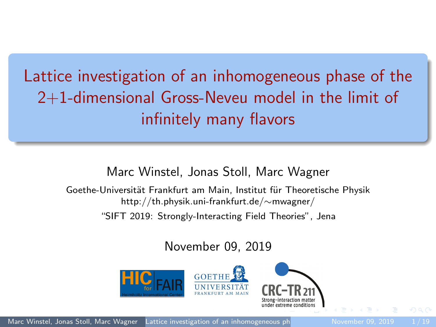<span id="page-0-0"></span>Lattice investigation of an inhomogeneous phase of the 2+1-dimensional Gross-Neveu model in the limit of infinitely many flavors

#### Marc Winstel, Jonas Stoll, Marc Wagner

Goethe-Universität Frankfurt am Main, Institut für Theoretische Physik http://th.physik.uni-frankfurt.de/∼mwagner/

"SIFT 2019: Strongly-Interacting Field Theories", Jena

November 09, 2019

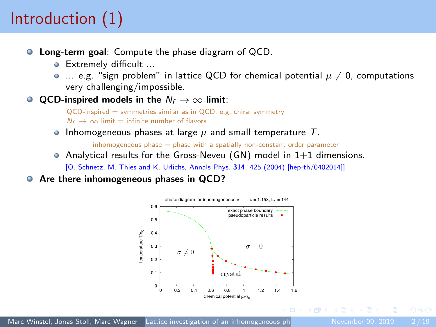# Introduction (1)

- **C** Long-term goal: Compute the phase diagram of QCD.
	- Extremely difficult ...
	- $\bullet$  ... e.g. "sign problem" in lattice QCD for chemical potential  $\mu \neq 0$ , computations very challenging/impossible.
- **QCD-inspired models in the**  $N_f$  → ∞ limit:

 $QCD$ -inspired = symmetries similar as in  $QCD$ , e.g. chiral symmetry  $N_f \rightarrow \infty$  limit = infinite number of flavors

**Inhomogeneous phases at large**  $\mu$  **and small temperature T.** 

 $inhomogeneous phase = phase with a spatially non-constant order parameter$ 

- Analytical results for the Gross-Neveu (GN) model in  $1+1$  dimensions. [O. Schnetz, M. Thies and K. Urlichs, Annals Phys. 314, 425 (2004) [hep-th/0402014]]
- Are there inhomogeneous phases in QCD?  $\bullet$

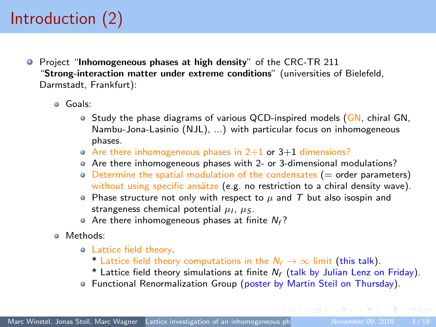# Introduction (2)

- **•** Project "Inhomogeneous phases at high density" of the CRC-TR 211 "Strong-interaction matter under extreme conditions" (universities of Bielefeld, Darmstadt, Frankfurt):
	- Goals:
		- $\bullet$  Study the phase diagrams of various QCD-inspired models (GN, chiral GN, Nambu-Jona-Lasinio (NJL), ...) with particular focus on inhomogeneous phases.
		- $\bullet$  Are there inhomogeneous phases in 2+1 or 3+1 dimensions?
		- Are there inhomogeneous phases with 2- or 3-dimensional modulations?
		- $\bullet$  Determine the spatial modulation of the condensates ( $=$  order parameters) without using specific ansätze (e.g. no restriction to a chiral density wave).
		- Phase structure not only with respect to  $\mu$  and  $T$  but also isospin and strangeness chemical potential  $\mu_I$ ,  $\mu_S$ .
		- $\bullet$  Are there inhomogeneous phases at finite  $N_f$ ?
	- Methods:
		- Lattice field theory.
			- \* Lattice field theory computations in the  $N_f \rightarrow \infty$  limit (this talk).
			- \* Lattice field theory simulations at finite  $N_f$  (talk by Julian Lenz on Friday).
		- Functional Renormalization Group (poster by Martin Steil on Thursday).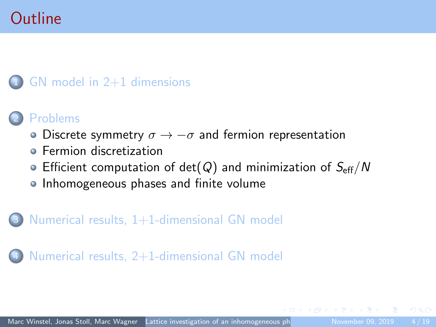## **Outline**

#### GN model in  $2+1$  dimensions

#### **[Problems](#page-6-0)**

- Discrete symmetry  $\sigma \rightarrow -\sigma$  [and fermion representation](#page-6-0)
- **•** [Fermion discretization](#page-7-0)
- [Efficient computation of det\(](#page-9-0) $Q$ ) and minimization of  $S_{\text{eff}}/N$
- **[Inhomogeneous phases and finite volume](#page-10-0)**

#### Numerical results,  $1+1$ -dimensional GN model

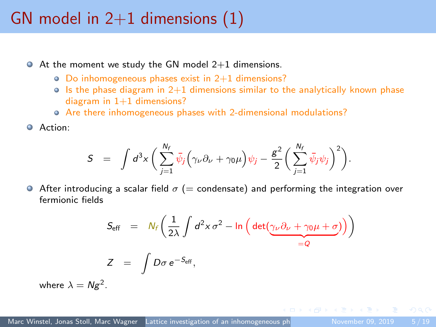## <span id="page-4-0"></span>GN model in  $2+1$  dimensions  $(1)$

- $\bullet$  At the moment we study the GN model 2+1 dimensions.
	- Do inhomogeneous phases exist in 2+1 dimensions?
	- $\circ$  Is the phase diagram in 2+1 dimensions similar to the analytically known phase diagram in  $1+1$  dimensions?
	- Are there inhomogeneous phases with 2-dimensional modulations?
- Action:

$$
S \;\; = \;\; \int d^3x \, \bigg( \sum_{j=1}^{N_f} \bar{\psi}_j \Big( \gamma_\nu \partial_\nu + \gamma_0 \mu \Big) \psi_j - \frac{g^2}{2} \bigg( \sum_{j=1}^{N_f} \bar{\psi}_j \psi_j \bigg)^2 \bigg).
$$

After introducing a scalar field  $\sigma$  (= condensate) and performing the integration over fermionic fields

$$
S_{\text{eff}} = N_f \left( \frac{1}{2\lambda} \int d^2 x \,\sigma^2 - \ln \left( \det \left( \frac{\gamma_\nu \partial_\nu + \gamma_0 \mu + \sigma}{-\sigma} \right) \right) \right)
$$
  

$$
Z = \int D\sigma \, e^{-S_{\text{eff}}},
$$

where  $\lambda = Ng^2$ .

 $\Omega$ 

 $\langle \vert \bar{m} \vert \rangle$   $\langle \vert \bar{m} \rangle$   $\langle \vert \bar{m} \rangle$   $\langle \vert \bar{m} \rangle$   $\langle \vert \bar{m} \rangle$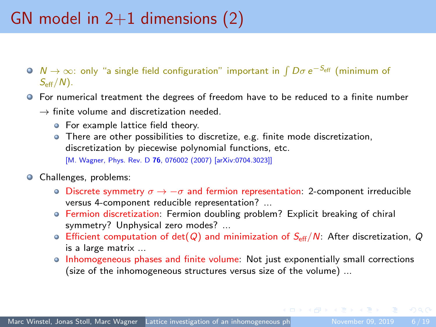## <span id="page-5-0"></span>GN model in  $2+1$  dimensions (2)

- $N \rightarrow \infty$ : only "a single field configuration" important in  $\int D\sigma\, e^{-S_{\rm eff}}$  (minimum of  $S_{\text{eff}}/N$ ).
- For numerical treatment the degrees of freedom have to be reduced to a finite number
	- $\rightarrow$  finite volume and discretization needed.
		- **•** For example lattice field theory.
		- There are other possibilities to discretize, e.g. finite mode discretization, discretization by piecewise polynomial functions, etc. [M. Wagner, Phys. Rev. D 76, 076002 (2007) [arXiv:0704.3023]]
- **Challenges**, problems:
	- $\circ$  Discrete symmetry  $\sigma \rightarrow -\sigma$  and fermion representation: 2-component irreducible versus 4-component reducible representation? ...
	- Fermion discretization: Fermion doubling problem? Explicit breaking of chiral symmetry? Unphysical zero modes? ...
	- Efficient computation of det(Q) and minimization of  $S_{\text{eff}}/N$ : After discretization, Q is a large matrix ...
	- Inhomogeneous phases and finite volume: Not just exponentially small corrections (size of the inhomogeneous structures versus size of the volume) ...

 $\Omega$ 

 $\left\{ \begin{array}{ccc} 1 & 0 & 0 \\ 0 & 1 & 0 \end{array} \right.$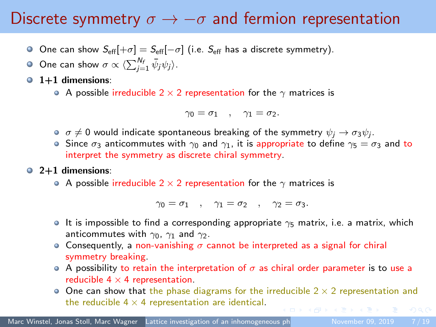#### <span id="page-6-0"></span>Discrete symmetry  $\sigma \rightarrow -\sigma$  and fermion representation

- O One can show  $S_{\text{eff}}[+\sigma] = S_{\text{eff}}[-\sigma]$  (i.e.  $S_{\text{eff}}$  has a discrete symmetry).
- One can show  $\sigma \propto \langle \sum_{j=1}^{N_f} \bar{\psi}_j \psi_j \rangle$ .
- $\bullet$  1+1 dimensions:
	- A possible irreducible 2  $\times$  2 representation for the  $\gamma$  matrices is

$$
\gamma_0=\sigma_1\quad,\quad \gamma_1=\sigma_2.
$$

- $\sigma\neq 0$  would indicate spontaneous breaking of the symmetry  $\psi_j\to\sigma_3\psi_j.$
- Since  $\sigma_3$  anticommutes with  $\gamma_0$  and  $\gamma_1$ , it is appropriate to define  $\gamma_5 = \sigma_3$  and to interpret the symmetry as discrete chiral symmetry.

#### $\bullet$  2+1 dimensions:

A possible irreducible 2  $\times$  2 representation for the  $\gamma$  matrices is

 $\gamma_0 = \sigma_1$ ,  $\gamma_1 = \sigma_2$ ,  $\gamma_2 = \sigma_3$ .

- It is impossible to find a corresponding appropriate  $\gamma_5$  matrix, i.e. a matrix, which anticommutes with  $\gamma_0$ ,  $\gamma_1$  and  $\gamma_2$ .
- Consequently, a non-vanishing  $\sigma$  cannot be interpreted as a signal for chiral symmetry breaking.
- A possibility to retain the interpretation of  $\sigma$  as chiral order parameter is to use a reducible  $4 \times 4$  representation.
- $\bullet$  One can show that the phase diagrams for the irreducible 2  $\times$  2 representation and the reducible  $4 \times 4$  representation are identical.  $OQ$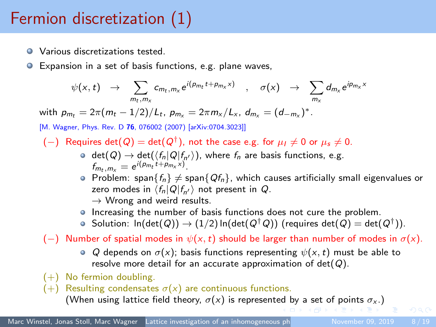## <span id="page-7-0"></span>Fermion discretization (1)

- **Q** Various discretizations tested.
- Expansion in a set of basis functions, e.g. plane waves,  $\bullet$

$$
\psi(x,t) \rightarrow \sum_{m_t,m_x} c_{m_t,m_x} e^{i(p_{m_t}t+p_{m_x}x)} \quad , \quad \sigma(x) \rightarrow \sum_{m_x} d_{m_x} e^{ip_{m_x}x}
$$

with  $p_{m_t} = 2\pi (m_t - 1/2)/L_t$ ,  $p_{m_x} = 2\pi m_x/L_x$ ,  $d_{m_x} = (d_{-m_x})^*$ .

[M. Wagner, Phys. Rev. D 76, 076002 (2007) [arXiv:0704.3023]]

- $(-)$  Requires det $(Q) = det(Q<sup>†</sup>)$ , not the case e.g. for  $\mu_I \neq 0$  or  $\mu_s \neq 0$ .
	- $\det(Q) \to \det(\langle f_n|Q|f_{n'}\rangle)$ , where  $f_n$  are basis functions, e.g.  $f_{m_t, m_x} = e^{i(p_{m_t}t + p_{m_x}x)}$ .
	- Problem: span $\{f_n\}\neq$  span $\{Qf_n\}$ , which causes artificially small eigenvalues or zero modes in  $\langle f_n|Q|f_{n'}\rangle$  not present in Q.  $\rightarrow$  Wrong and weird results.
	- Increasing the number of basis functions does not cure the problem.
	- Solution:  $\ln(\det(Q)) \to (1/2) \ln(\det(Q^\dagger\, Q))$  (requires  $\det(Q) = \det(Q^\dagger))$ .

(-) Number of spatial modes in  $\psi(x, t)$  should be larger than number of modes in  $\sigma(x)$ .

- Q depends on  $\sigma(x)$ ; basis functions representing  $\psi(x, t)$  must be able to resolve more detail for an accurate approximation of  $det(Q)$ .
- $(+)$  No fermion doubling.
- (+) Resulting condensates  $\sigma(x)$  are continuous functions.

(Whenusing lattice [f](#page-6-0)ield theory,  $\sigma(x)$  $\sigma(x)$  $\sigma(x)$  is represent[ed](#page-6-0) b[y a](#page-8-0) [set](#page-7-0) [o](#page-8-0)f [p](#page-7-0)[oi](#page-8-0)[n](#page-9-0)[ts](#page-5-0)  $\sigma_x$ .)

 $\Omega$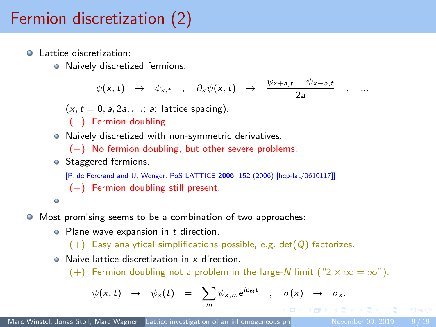## <span id="page-8-0"></span>Fermion discretization (2)

- **Q** Lattice discretization:
	- Naively discretized fermions.

$$
\psi(x,t) \rightarrow \psi_{x,t} \quad , \quad \partial_x \psi(x,t) \rightarrow \frac{\psi_{x+a,t} - \psi_{x-a,t}}{2a} \quad , \quad ...
$$

 $(x, t = 0, a, 2a, \ldots; a:$  lattice spacing).

- (−) Fermion doubling.
- Naively discretized with non-symmetric derivatives.

(−) No fermion doubling, but other severe problems.

**Staggered fermions.** 

[P. de Forcrand and U. Wenger, PoS LATTICE 2006, 152 (2006) [hep-lat/0610117]]

$$
(-)
$$
 Fermion doubling still present.

$$
\bullet\ldots
$$

- Most promising seems to be a combination of two approaches:  $\bullet$ 
	- $\bullet$  Plane wave expansion in  $t$  direction.

 $(+)$  Easy analytical simplifications possible, e.g. det( $Q$ ) factorizes.

**Q** Naive lattice discretization in x direction.

(+) Fermion doubling not a problem in the large-N limit (" $2 \times \infty = \infty$ ").

$$
\psi(x,t) \rightarrow \psi_x(t) = \sum_m \psi_{x,m} e^{ip_m t} , \sigma(x) \rightarrow \sigma_x.
$$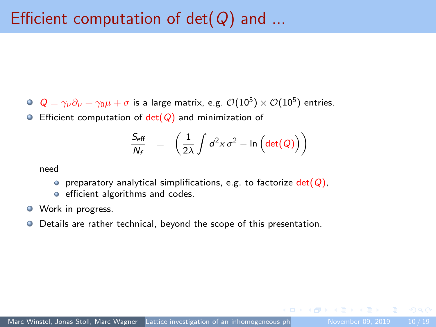- <span id="page-9-0"></span> $Q=\gamma_\nu\partial_\nu+\gamma_0\mu+\sigma$  is a large matrix, e.g.  $\mathcal{O}(10^5)\times\mathcal{O}(10^5)$  entries.
- **Efficient computation of det(** $Q$ **) and minimization of**

$$
\frac{S_{\text{eff}}}{N_f} = \left(\frac{1}{2\lambda} \int d^2x \,\sigma^2 - \ln\left(\det(Q)\right)\right)
$$

need

- **o** preparatory analytical simplifications, e.g. to factorize  $det(Q)$ ,
- **e** efficient algorithms and codes.
- **Work in progress.**
- Details are rather technical, beyond the scope of this presentation.  $\bullet$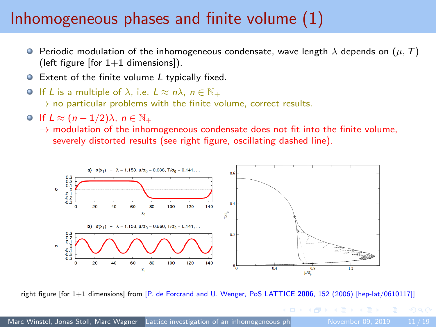#### <span id="page-10-0"></span>Inhomogeneous phases and finite volume (1)

- **P** Periodic modulation of the inhomogeneous condensate, wave length  $\lambda$  depends on  $(\mu, T)$ (left figure [for  $1+1$  dimensions]).
- Extent of the finite volume L typically fixed.
- O If L is a multiple of  $\lambda$ , i.e.  $L \approx n\lambda$ ,  $n \in \mathbb{N}_+$  $\rightarrow$  no particular problems with the finite volume, correct results.
- $\bigcirc$  If  $L \approx (n-1/2)\lambda$ ,  $n \in \mathbb{N}_+$ 
	- $\rightarrow$  modulation of the inhomogeneous condensate does not fit into the finite volume. severely distorted results (see right figure, oscillating dashed line).



right figure [for 1+1 dimensions] from [P. de Forcrand and U. Wenger, PoS LATTICE 2006, 152 (2006) [hep-lat/0610117]]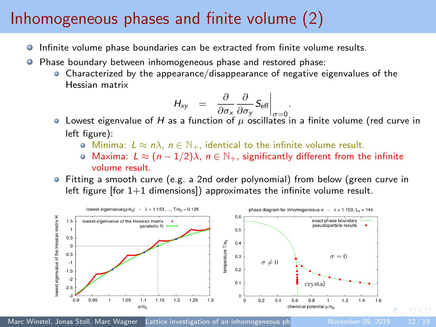#### <span id="page-11-0"></span>Inhomogeneous phases and finite volume (2)

- Infinite volume phase boundaries can be extracted from finite volume results. 0
- Phase boundary between inhomogeneous phase and restored phase:
	- Characterized by the appearance/disappearance of negative eigenvalues of the Hessian matrix

$$
H_{xy} = \left. \frac{\partial}{\partial \sigma_x} \frac{\partial}{\partial \sigma_y} S_{\text{eff}} \right|_{\sigma=0}
$$

 $\frac{\partial \sigma_{\mathsf{x}}}{\partial \sigma_{\mathsf{x}}}\frac{\partial \sigma_{\mathsf{y}}}{\partial \tau}$  and  $\frac{\partial \sigma_{\mathsf{x}}}{\partial \sigma_{\mathsf{z}}}\frac{\partial \sigma_{\mathsf{z}}}{\partial \sigma_{\mathsf{z}}}$  in a finite volume (red curve in left figure):

.

- **•** Minima:  $L \approx n\lambda$ ,  $n \in \mathbb{N}_+$ , identical to the infinite volume result.
- $\bullet$  Maxima:  $L \approx (n-1/2)\lambda$ ,  $n \in \mathbb{N}_+$ , significantly different from the infinite volume result.
- Fitting a smooth curve (e.g. a 2nd order polynomial) from below (green curve in left figure  $[$ for  $1+1$  dimensions $]$ ) approximates the infinite volume result.



Marc Winstel, Jonas Stoll, Marc Wagner Lattice investigation of an inhomogeneous phase of the 2010 12/19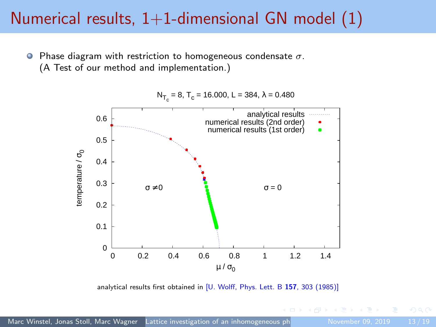#### <span id="page-12-0"></span>Numerical results,  $1+1$ -dimensional GN model  $(1)$

Phase diagram with restriction to homogeneous condensate  $\sigma$ .  $\bullet$ (A Test of our method and implementation.)



analytical results first obtained in [U. Wolff, Phys. Lett. B 157, 303 (1985)]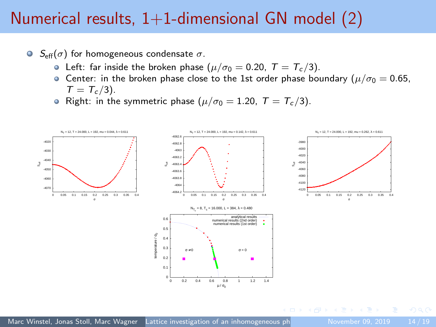#### Numerical results,  $1+1$ -dimensional GN model  $(2)$

- $\bullet$  S<sub>eff</sub>( $\sigma$ ) for homogeneous condensate  $\sigma$ .
	- Left: far inside the broken phase  $(\mu/\sigma_0 = 0.20, T = T_c/3)$ .
	- **Center:** in the broken phase close to the 1st order phase boundary ( $\mu/\sigma_0 = 0.65$ ,  $T = T_c/3$ ).
	- Right: in the symmetric phase ( $\mu/\sigma_0 = 1.20$ ,  $T = T_c/3$ ).

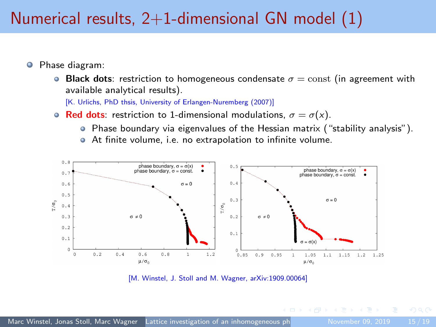### <span id="page-14-0"></span>Numerical results,  $2+1$ -dimensional GN model  $(1)$

- Phase diagram:  $\bullet$ 
	- **Black dots:** restriction to homogeneous condensate  $\sigma$  = const (in agreement with available analytical results).

[K. Urlichs, PhD thsis, University of Erlangen-Nuremberg (2007)]

- Red dots: restriction to 1-dimensional modulations,  $\sigma = \sigma(x)$ .
	- Phase boundary via eigenvalues of the Hessian matrix ("stability analysis").
	- At finite volume, i.e. no extrapolation to infinite volume.



[M. Winstel, J. Stoll and M. Wagner, arXiv:1909.00064]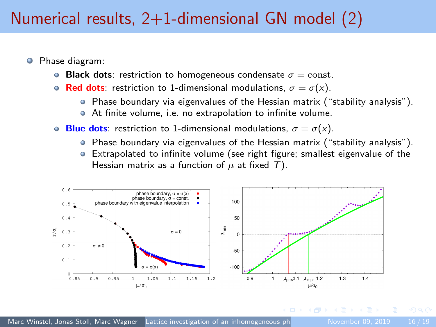### Numerical results,  $2+1$ -dimensional GN model  $(2)$

- Phase diagram:
	- **Black dots:** restriction to homogeneous condensate  $\sigma = \text{const.}$
	- Red dots: restriction to 1-dimensional modulations,  $\sigma = \sigma(x)$ .
		- $\bullet$  Phase boundary via eigenvalues of the Hessian matrix ("stability analysis").
		- At finite volume, i.e. no extrapolation to infinite volume.
	- **Blue dots:** restriction to 1-dimensional modulations,  $\sigma = \sigma(x)$ .
		- $\bullet$  Phase boundary via eigenvalues of the Hessian matrix ("stability analysis").
		- Extrapolated to infinite volume (see right figure; smallest eigenvalue of the Hessian matrix as a function of  $\mu$  at fixed T).

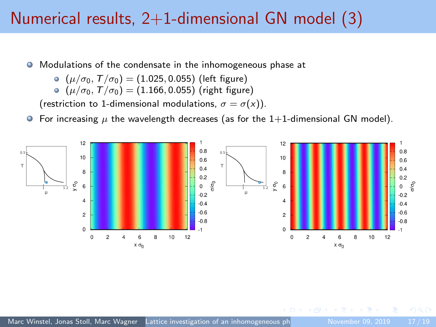#### Numerical results,  $2+1$ -dimensional GN model (3)

 $\bullet$ Modulations of the condensate in the inhomogeneous phase at

$$
( \mu / \sigma_0, \mathcal{T} / \sigma_0 ) = (1.025, 0.055) \text{ (left figure)}
$$

$$
(\mu/\sigma_0, \, T/\sigma_0) = (1.166, 0.055) \; (\text{right figure})
$$

(restriction to 1-dimensional modulations,  $\sigma = \sigma(x)$ ).

**•** For increasing  $\mu$  the wavelength decreases (as for the 1+1-dimensional GN model).

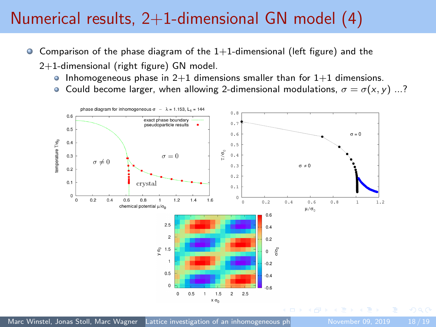## Numerical results,  $2+1$ -dimensional GN model  $(4)$

- Comparison of the phase diagram of the  $1+1$ -dimensional (left figure) and the  $\bullet$ 
	- 2+1-dimensional (right figure) GN model.
		- Inhomogeneous phase in  $2+1$  dimensions smaller than for  $1+1$  dimensions.
		- **Could become larger, when allowing 2-dimensional modulations,**  $\sigma = \sigma(x, y)$  **...?**